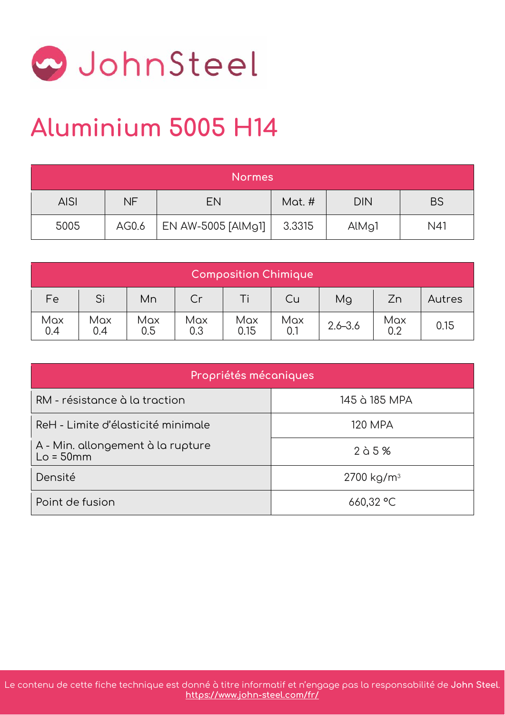

## **Aluminium 5005 H14**

| <b>Normes</b> |           |                    |        |                    |           |  |
|---------------|-----------|--------------------|--------|--------------------|-----------|--|
| <b>AISI</b>   | <b>NF</b> | <b>EN</b>          | Mat. # | <b>DIN</b>         | <b>BS</b> |  |
| 5005          | AG0.6     | EN AW-5005 [AlMg1] | 3.3315 | AlM <sub>9</sub> 1 | N41       |  |

| Composition Chimique |            |            |            |             |            |             |            |        |
|----------------------|------------|------------|------------|-------------|------------|-------------|------------|--------|
| Fe                   | Si         | Mn         | Cr         |             | Cu         | Mg          | Zn         | Autres |
| Max<br>0.4           | Max<br>0.4 | Max<br>0.5 | Max<br>0.3 | Max<br>0.15 | Max<br>0.1 | $2.6 - 3.6$ | Max<br>0.2 | 0.15   |

| Propriétés mécaniques                            |                        |  |  |  |  |  |  |
|--------------------------------------------------|------------------------|--|--|--|--|--|--|
| RM - résistance à la traction                    | 145 à 185 MPA          |  |  |  |  |  |  |
| ReH - Limite d'élasticité minimale               | 120 MPA                |  |  |  |  |  |  |
| A - Min. allongement à la rupture<br>$Lo = 50mm$ | $2$ à 5 %              |  |  |  |  |  |  |
| Densité                                          | 2700 kg/m <sup>3</sup> |  |  |  |  |  |  |
| Point de fusion                                  | 660,32 °C              |  |  |  |  |  |  |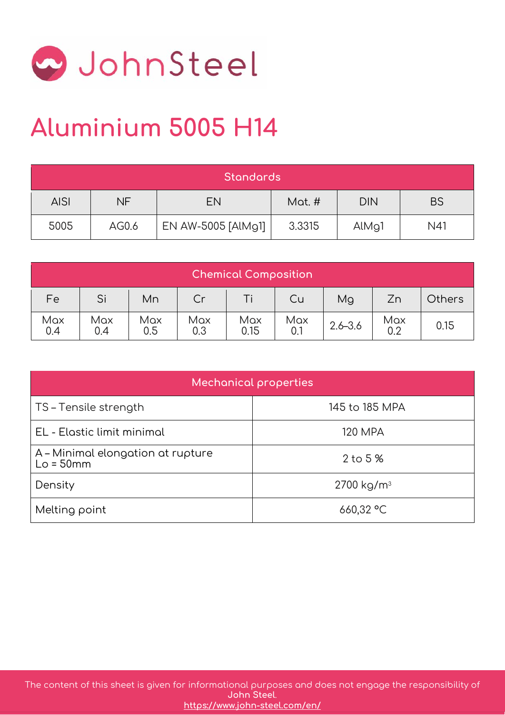

## **Aluminium 5005 H14**

| <b>Standards</b> |       |                    |        |                    |           |  |
|------------------|-------|--------------------|--------|--------------------|-----------|--|
| <b>AISI</b>      | NF    | <b>EN</b>          | Mat. # | <b>DIN</b>         | <b>BS</b> |  |
| 5005             | AG0.6 | EN AW-5005 [AlMg1] | 3.3315 | AlM <sub>9</sub> 1 | N41       |  |

| <b>Chemical Composition</b> |            |            |            |             |            |             |            |               |
|-----------------------------|------------|------------|------------|-------------|------------|-------------|------------|---------------|
| Fe                          | Si         | Mn         | Cr         |             | Cu         | Mg          | Zn         | <b>Others</b> |
| Max<br>0.4                  | Max<br>0.4 | Max<br>0.5 | Max<br>0.3 | Max<br>0.15 | Max<br>0.1 | $2.6 - 3.6$ | Max<br>0.2 | 0.15          |

| Mechanical properties                            |                        |  |  |  |  |  |
|--------------------------------------------------|------------------------|--|--|--|--|--|
| TS – Tensile strength                            | 145 to 185 MPA         |  |  |  |  |  |
| EL - Elastic limit minimal                       | <b>120 MPA</b>         |  |  |  |  |  |
| A – Minimal elongation at rupture<br>$Lo = 50mm$ | $2$ to $5%$            |  |  |  |  |  |
| Density                                          | 2700 kg/m <sup>3</sup> |  |  |  |  |  |
| Melting point                                    | 660,32 °C              |  |  |  |  |  |

The content of this sheet is given for informational purposes and does not engage the responsibility of **[John Steel](https://www.john-steel.com/en/)**. **<https://www.john-steel.com/en/>**